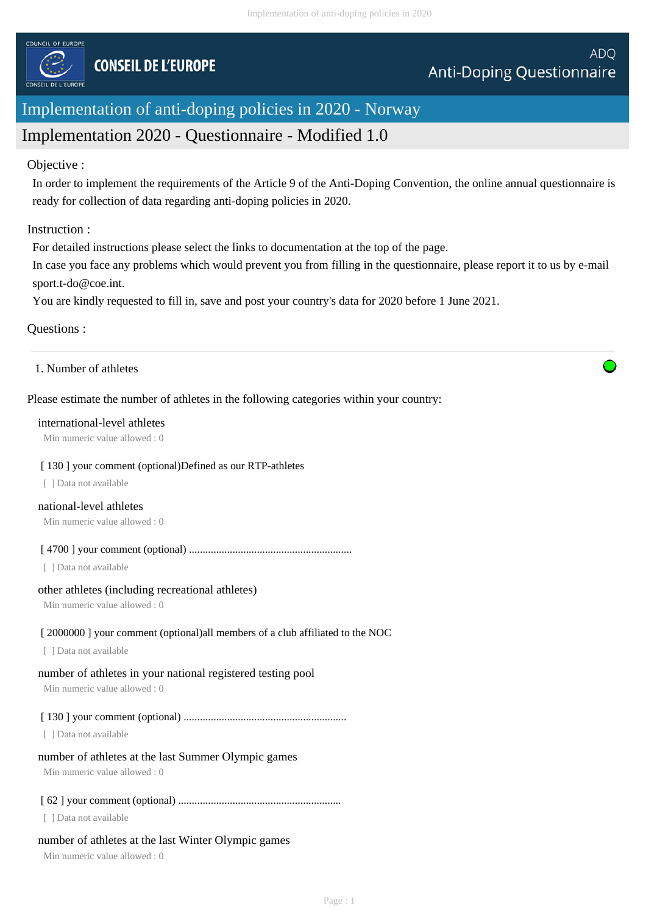

# Implementation of anti-doping policies in 2020 - Norway

# Implementation 2020 - Questionnaire - Modified 1.0

### Objective :

In order to implement the requirements of the Article 9 of the Anti-Doping Convention, the online annual questionnaire is ready for collection of data regarding anti-doping policies in 2020.

### Instruction :

For detailed instructions please select the links to documentation at the top of the page.

In case you face any problems which would prevent you from filling in the questionnaire, please report it to us by e-mail sport.t-do@coe.int.

You are kindly requested to fill in, save and post your country's data for 2020 before 1 June 2021.

# Questions :

1. Number of athletes

# Please estimate the number of athletes in the following categories within your country:

### international-level athletes

Min numeric value allowed : 0

### [ 130 ] your comment (optional)Defined as our RTP-athletes

[ ] Data not available

### national-level athletes

Min numeric value allowed : 0

[ 4700 ] your comment (optional) ............................................................

[ ] Data not available

### other athletes (including recreational athletes)

Min numeric value allowed : 0

# [2000000] your comment (optional)all members of a club affiliated to the NOC

[ ] Data not available

# number of athletes in your national registered testing pool

Min numeric value allowed : 0

# [ 130 ] your comment (optional) ............................................................

[ ] Data not available

# number of athletes at the last Summer Olympic games

Min numeric value allowed : 0

# [ 62 ] your comment (optional) ............................................................

[ ] Data not available

# number of athletes at the last Winter Olympic games

Min numeric value allowed : 0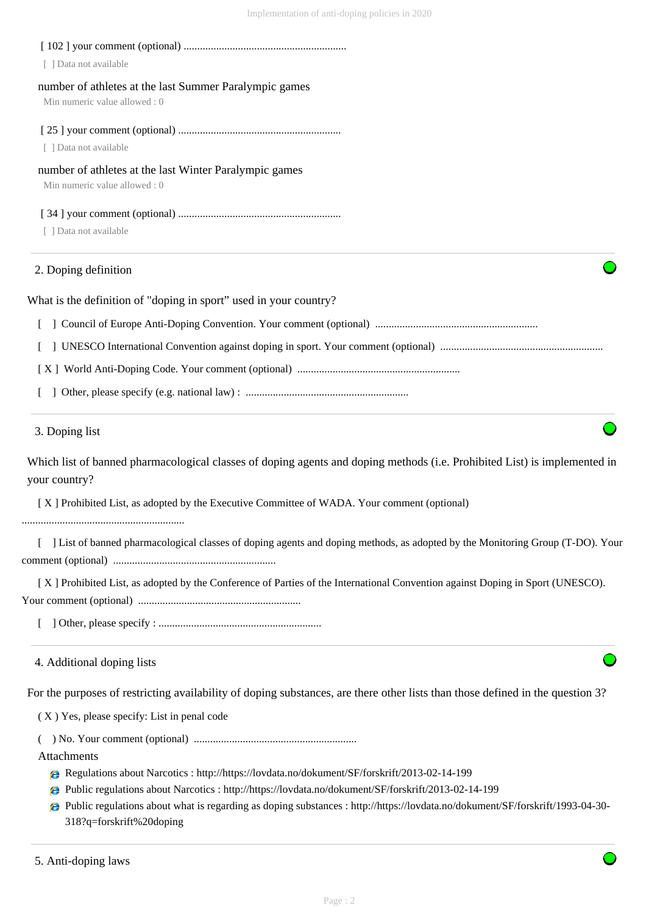| 3. Doping list                                                    |
|-------------------------------------------------------------------|
|                                                                   |
|                                                                   |
|                                                                   |
|                                                                   |
| What is the definition of "doping in sport" used in your country? |
| 2. Doping definition                                              |
| [ ] Data not available                                            |
|                                                                   |
| Min numeric value allowed: 0                                      |
| number of athletes at the last Winter Paralympic games            |
| [ ] Data not available                                            |
| Min numeric value allowed: 0                                      |
| number of athletes at the last Summer Paralympic games            |
| [ ] Data not available                                            |
|                                                                   |

[ X ] Prohibited List, as adopted by the Executive Committee of WADA. Your comment (optional)

............................................................

 [ ] List of banned pharmacological classes of doping agents and doping methods, as adopted by the Monitoring Group (T-DO). Your comment (optional) ............................................................

 [ X ] Prohibited List, as adopted by the Conference of Parties of the International Convention against Doping in Sport (UNESCO). Your comment (optional) ............................................................

[ ] Other, please specify : ............................................................

### 4. Additional doping lists

For the purposes of restricting availability of doping substances, are there other lists than those defined in the question 3?

( X ) Yes, please specify: List in penal code

( ) No. Your comment (optional) ............................................................

Attachments

- Regulations about Narcotics : http://https://lovdata.no/dokument/SF/forskrift/2013-02-14-199
- Public regulations about Narcotics : http://https://lovdata.no/dokument/SF/forskrift/2013-02-14-199
- Public regulations about what is regarding as doping substances : http://https://lovdata.no/dokument/SF/forskrift/1993-04-30- 318?q=forskrift%20doping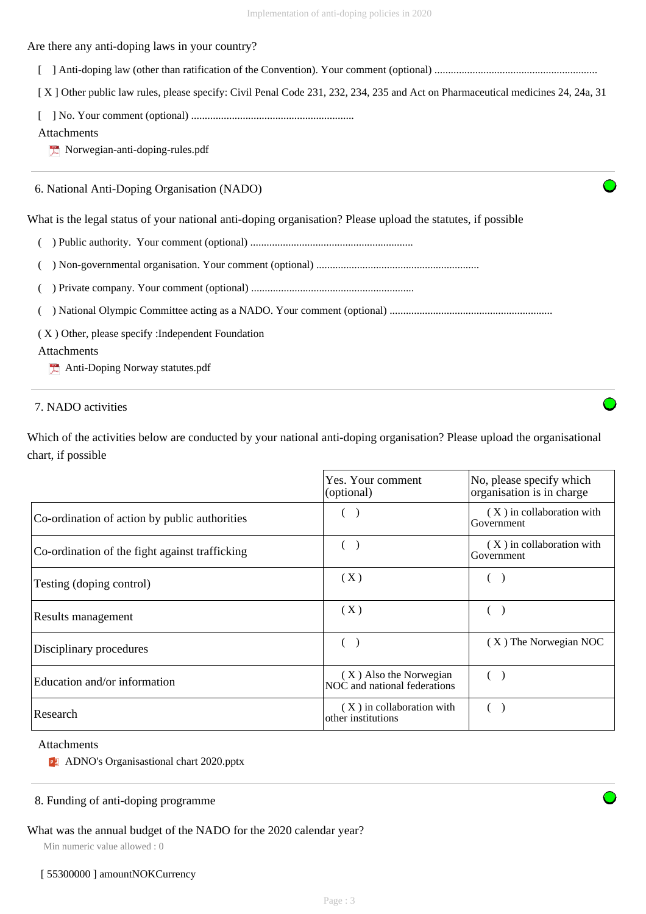Are there any anti-doping laws in your country?

[ ] Anti-doping law (other than ratification of the Convention). Your comment (optional) ............................................................

[X] Other public law rules, please specify: Civil Penal Code 231, 232, 234, 235 and Act on Pharmaceutical medicines 24, 24a, 31

[ ] No. Your comment (optional) ............................................................

### Attachments

 $\sum$  Norwegian-anti-doping-rules.pdf

### 6. National Anti-Doping Organisation (NADO)

What is the legal status of your national anti-doping organisation? Please upload the statutes, if possible

- ( ) Public authority. Your comment (optional) ............................................................
- ( ) Non-governmental organisation. Your comment (optional) ............................................................

|--|--|--|--|

( ) National Olympic Committee acting as a NADO. Your comment (optional) ............................................................

( X ) Other, please specify :Independent Foundation

# Attachments

Anti-Doping Norway statutes.pdf

# 7. NADO activities

Which of the activities below are conducted by your national anti-doping organisation? Please upload the organisational chart, if possible

|                                                | Yes. Your comment<br>(optional)                        | No, please specify which<br>organisation is in charge |
|------------------------------------------------|--------------------------------------------------------|-------------------------------------------------------|
| Co-ordination of action by public authorities  |                                                        | $(X)$ in collaboration with<br>Government             |
| Co-ordination of the fight against trafficking |                                                        | (X) in collaboration with<br>Government               |
| Testing (doping control)                       | (X)                                                    |                                                       |
| Results management                             | (X)                                                    |                                                       |
| Disciplinary procedures                        |                                                        | (X) The Norwegian NOC                                 |
| Education and/or information                   | (X) Also the Norwegian<br>NOC and national federations |                                                       |
| Research                                       | (X) in collaboration with<br>other institutions        |                                                       |

#### Attachments

**PE** ADNO's Organisastional chart 2020.pptx

### 8. Funding of anti-doping programme

# What was the annual budget of the NADO for the 2020 calendar year?

Min numeric value allowed : 0

#### [ 55300000 ] amountNOKCurrency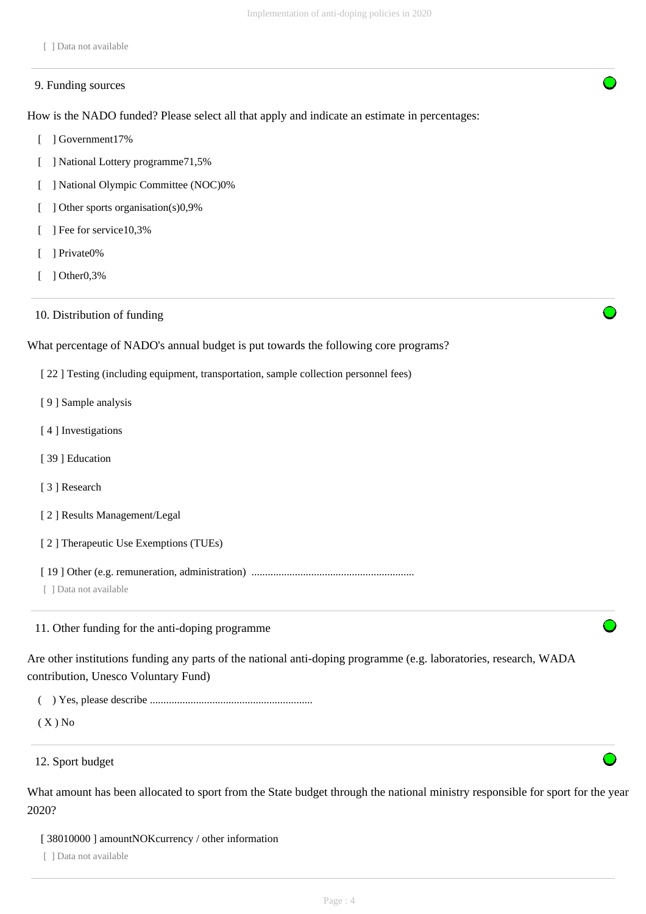[ ] Data not available

#### 9. Funding sources

How is the NADO funded? Please select all that apply and indicate an estimate in percentages:

- [ ] Government17%
- [ ] National Lottery programme71,5%
- [ ] National Olympic Committee (NOC)0%
- [ ] Other sports organisation(s)0,9%
- [ ] Fee for service10,3%
- [ ] Private0%
- [ ] Other0,3%
- 10. Distribution of funding

What percentage of NADO's annual budget is put towards the following core programs?

- [ 22 ] Testing (including equipment, transportation, sample collection personnel fees)
- [ 9 ] Sample analysis
- [4] Investigations
- [ 39 ] Education
- [ 3 ] Research
- [ 2 ] Results Management/Legal
- [ 2 ] Therapeutic Use Exemptions (TUEs)
- [ 19 ] Other (e.g. remuneration, administration) ............................................................

[ ] Data not available

11. Other funding for the anti-doping programme

Are other institutions funding any parts of the national anti-doping programme (e.g. laboratories, research, WADA contribution, Unesco Voluntary Fund)

( ) Yes, please describe ............................................................

 $(X)$  No

12. Sport budget

What amount has been allocated to sport from the State budget through the national ministry responsible for sport for the year 2020?

[ 38010000 ] amountNOKcurrency / other information

[ ] Data not available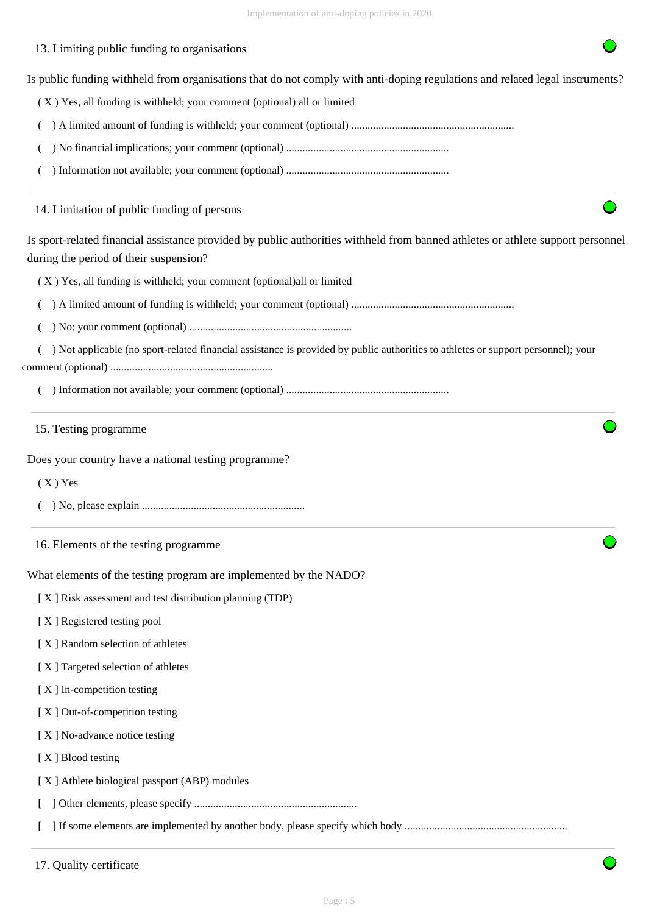# 13. Limiting public funding to organisations

Is public funding withheld from organisations that do not comply with anti-doping regulations and related legal instruments?

( X ) Yes, all funding is withheld; your comment (optional) all or limited

- ( ) A limited amount of funding is withheld; your comment (optional) ............................................................
- ( ) No financial implications; your comment (optional) ............................................................
- ( ) Information not available; your comment (optional) ............................................................

14. Limitation of public funding of persons

Is sport-related financial assistance provided by public authorities withheld from banned athletes or athlete support personnel during the period of their suspension?

( X ) Yes, all funding is withheld; your comment (optional)all or limited

( ) A limited amount of funding is withheld; your comment (optional) ............................................................

( ) No; your comment (optional) ............................................................

 ( ) Not applicable (no sport-related financial assistance is provided by public authorities to athletes or support personnel); your comment (optional) ............................................................

( ) Information not available; your comment (optional) ............................................................

#### 15. Testing programme

Does your country have a national testing programme?

( X ) Yes

- ( ) No, please explain ............................................................
- 16. Elements of the testing programme

What elements of the testing program are implemented by the NADO?

[ X ] Risk assessment and test distribution planning (TDP)

- [ X ] Registered testing pool
- [ X ] Random selection of athletes
- [ X ] Targeted selection of athletes
- [ X ] In-competition testing
- [X] Out-of-competition testing
- [X] No-advance notice testing
- [X ] Blood testing
- [ X ] Athlete biological passport (ABP) modules

[ ] Other elements, please specify ............................................................

[ ] If some elements are implemented by another body, please specify which body ............................................................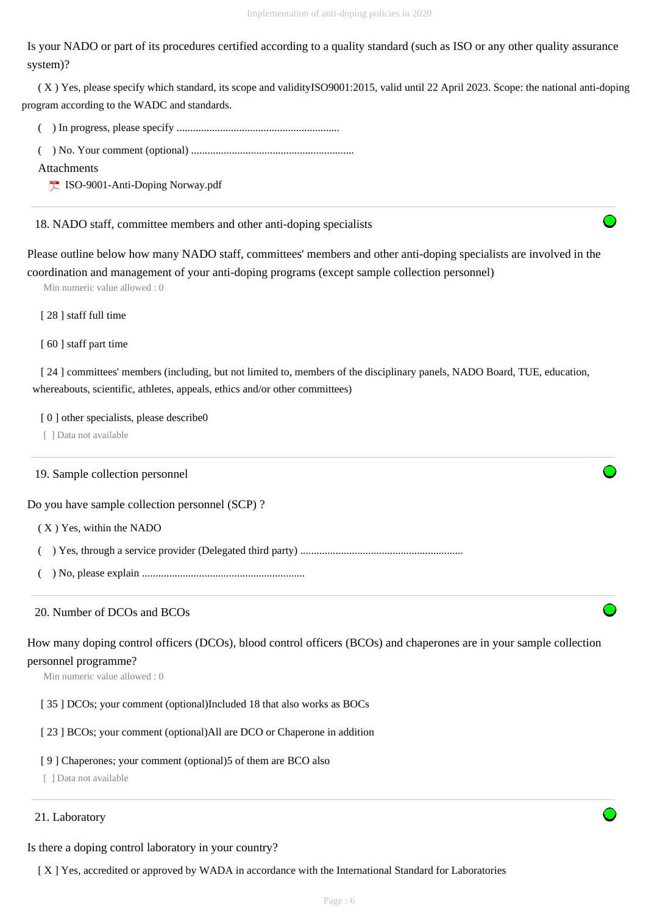Is your NADO or part of its procedures certified according to a quality standard (such as ISO or any other quality assurance system)?

 ( X ) Yes, please specify which standard, its scope and validityISO9001:2015, valid until 22 April 2023. Scope: the national anti-doping program according to the WADC and standards.

( ) In progress, please specify ............................................................

( ) No. Your comment (optional) ............................................................

Attachments

ISO-9001-Anti-Doping Norway.pdf

18. NADO staff, committee members and other anti-doping specialists

Please outline below how many NADO staff, committees' members and other anti-doping specialists are involved in the coordination and management of your anti-doping programs (except sample collection personnel)

Min numeric value allowed : 0

[ 28 ] staff full time

[ 60 ] staff part time

[ 24 ] committees' members (including, but not limited to, members of the disciplinary panels, NADO Board, TUE, education, whereabouts, scientific, athletes, appeals, ethics and/or other committees)

[ 0 ] other specialists, please describe0

[ ] Data not available

### 19. Sample collection personnel

Do you have sample collection personnel (SCP) ?

( X ) Yes, within the NADO

( ) Yes, through a service provider (Delegated third party) ............................................................

( ) No, please explain ............................................................

### 20. Number of DCOs and BCOs

How many doping control officers (DCOs), blood control officers (BCOs) and chaperones are in your sample collection personnel programme?

Min numeric value allowed : 0

[ 35 ] DCOs; your comment (optional)Included 18 that also works as BOCs

[ 23 ] BCOs; your comment (optional)All are DCO or Chaperone in addition

### [ 9 ] Chaperones; your comment (optional)5 of them are BCO also

[ ] Data not available

### 21. Laboratory

Is there a doping control laboratory in your country?

[ X ] Yes, accredited or approved by WADA in accordance with the International Standard for Laboratories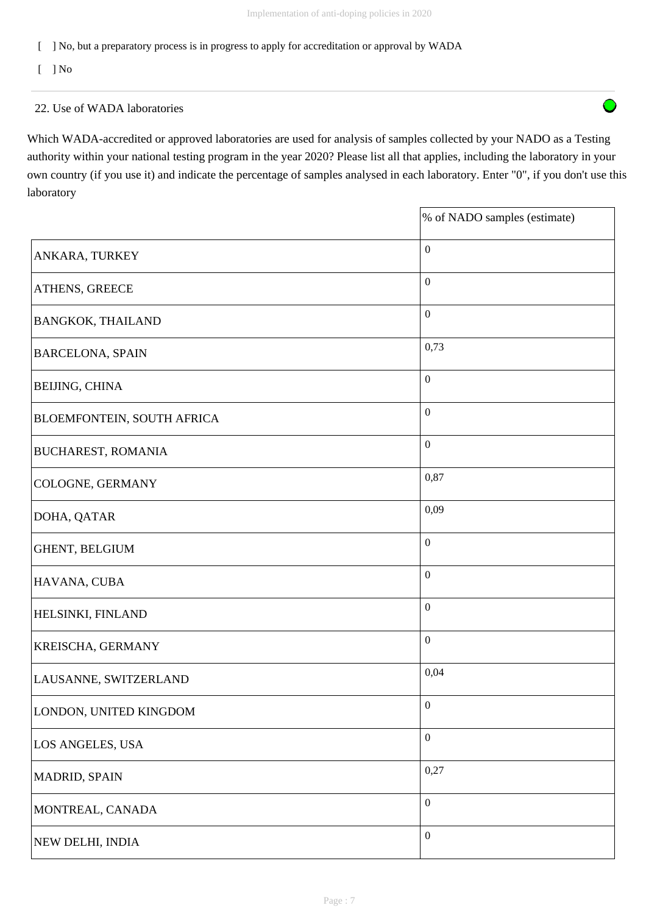$\bigcap$ 

[ ] No, but a preparatory process is in progress to apply for accreditation or approval by WADA

 $\lceil$   $\rceil$  No

### 22. Use of WADA laboratories

Which WADA-accredited or approved laboratories are used for analysis of samples collected by your NADO as a Testing authority within your national testing program in the year 2020? Please list all that applies, including the laboratory in your own country (if you use it) and indicate the percentage of samples analysed in each laboratory. Enter "0", if you don't use this laboratory

|                                   | % of NADO samples (estimate) |
|-----------------------------------|------------------------------|
| <b>ANKARA, TURKEY</b>             | $\boldsymbol{0}$             |
| <b>ATHENS, GREECE</b>             | $\boldsymbol{0}$             |
| <b>BANGKOK, THAILAND</b>          | $\boldsymbol{0}$             |
| <b>BARCELONA, SPAIN</b>           | 0,73                         |
| <b>BEIJING, CHINA</b>             | $\boldsymbol{0}$             |
| <b>BLOEMFONTEIN, SOUTH AFRICA</b> | $\boldsymbol{0}$             |
| <b>BUCHAREST, ROMANIA</b>         | $\boldsymbol{0}$             |
| COLOGNE, GERMANY                  | 0,87                         |
| DOHA, QATAR                       | 0,09                         |
| GHENT, BELGIUM                    | $\boldsymbol{0}$             |
| HAVANA, CUBA                      | $\boldsymbol{0}$             |
| <b>HELSINKI, FINLAND</b>          | $\boldsymbol{0}$             |
| KREISCHA, GERMANY                 | $\boldsymbol{0}$             |
| LAUSANNE, SWITZERLAND             | 0,04                         |
| LONDON, UNITED KINGDOM            | $\boldsymbol{0}$             |
| LOS ANGELES, USA                  | $\boldsymbol{0}$             |
| MADRID, SPAIN                     | 0,27                         |
| MONTREAL, CANADA                  | $\boldsymbol{0}$             |
| NEW DELHI, INDIA                  | $\boldsymbol{0}$             |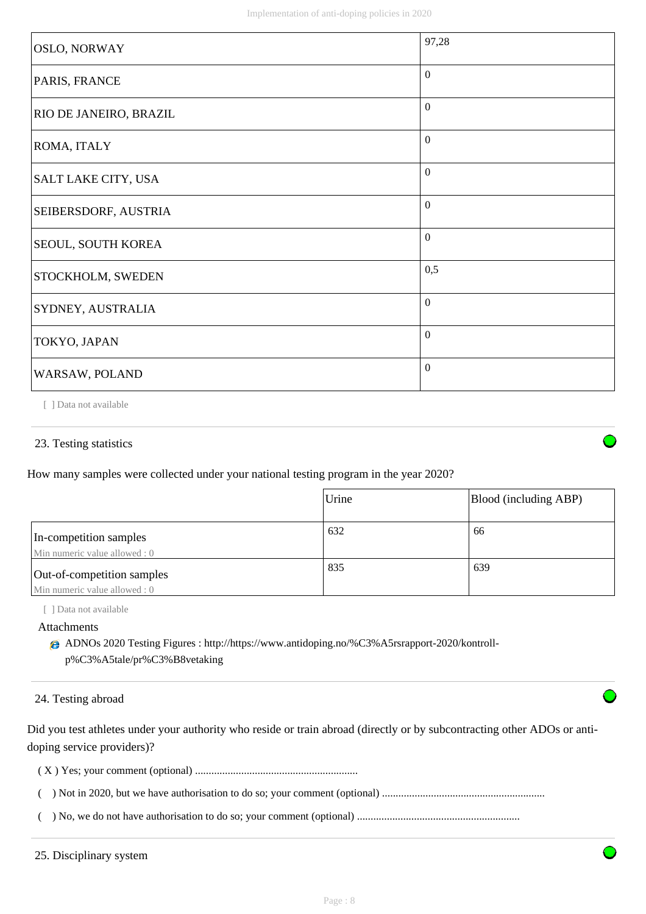| <b>OSLO, NORWAY</b>    | 97,28            |
|------------------------|------------------|
| PARIS, FRANCE          | $\theta$         |
| RIO DE JANEIRO, BRAZIL | $\overline{0}$   |
| ROMA, ITALY            | $\overline{0}$   |
| SALT LAKE CITY, USA    | $\mathbf{0}$     |
| SEIBERSDORF, AUSTRIA   | $\overline{0}$   |
| SEOUL, SOUTH KOREA     | $\boldsymbol{0}$ |
| STOCKHOLM, SWEDEN      | 0,5              |
| SYDNEY, AUSTRALIA      | $\overline{0}$   |
| TOKYO, JAPAN           | $\theta$         |
| WARSAW, POLAND         | $\Omega$         |

[ ] Data not available

### 23. Testing statistics

How many samples were collected under your national testing program in the year 2020?

|                                                             | Urine | Blood (including ABP) |
|-------------------------------------------------------------|-------|-----------------------|
| In-competition samples<br>Min numeric value allowed : 0     | 632   | 66                    |
| Out-of-competition samples<br>Min numeric value allowed : 0 | 835   | 639                   |

[ ] Data not available

Attachments

ADNOs 2020 Testing Figures : http://https://www.antidoping.no/%C3%A5rsrapport-2020/kontrollp%C3%A5tale/pr%C3%B8vetaking

24. Testing abroad

Did you test athletes under your authority who reside or train abroad (directly or by subcontracting other ADOs or antidoping service providers)?

( X ) Yes; your comment (optional) ............................................................

( ) Not in 2020, but we have authorisation to do so; your comment (optional) ............................................................

( ) No, we do not have authorisation to do so; your comment (optional) ............................................................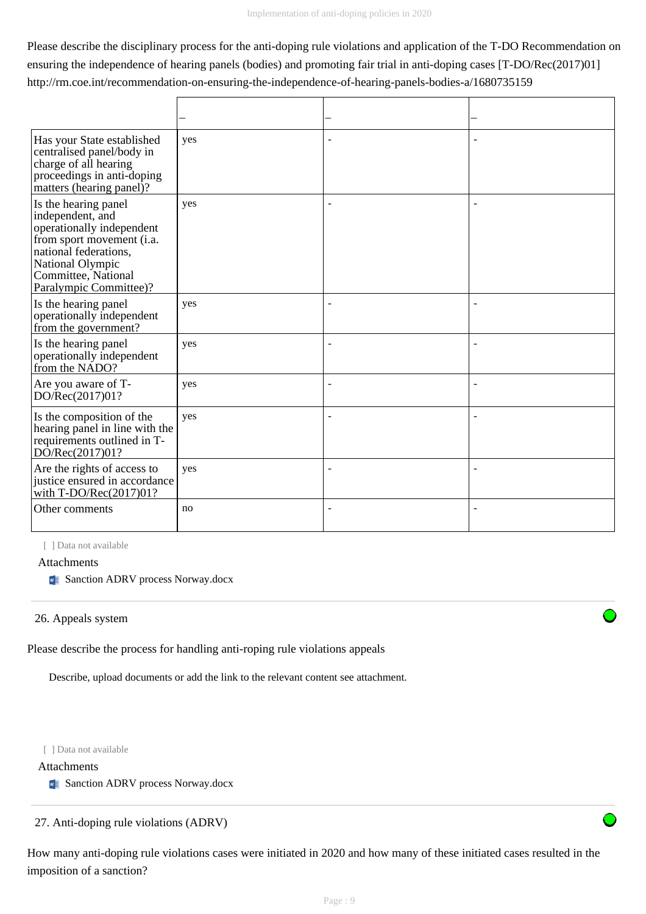Please describe the disciplinary process for the anti-doping rule violations and application of the T-DO Recommendation on ensuring the independence of hearing panels (bodies) and promoting fair trial in anti-doping cases [T-DO/Rec(2017)01] http://rm.coe.int/recommendation-on-ensuring-the-independence-of-hearing-panels-bodies-a/1680735159

| Has your State established<br>centralised panel/body in<br>charge of all hearing<br>proceedings in anti-doping<br>matters (hearing panel)?                                                       | yes |                |  |
|--------------------------------------------------------------------------------------------------------------------------------------------------------------------------------------------------|-----|----------------|--|
| Is the hearing panel<br>independent, and<br>operationally independent<br>from sport movement (i.a.<br>national federations,<br>National Olympic<br>Committee, National<br>Paralympic Committee)? | yes |                |  |
| Is the hearing panel<br>operationally independent<br>from the government?                                                                                                                        | yes |                |  |
| Is the hearing panel<br>operationally independent<br>from the NADO?                                                                                                                              | yes | $\blacksquare$ |  |
| Are you aware of T-<br>DO/Rec(2017)01?                                                                                                                                                           | yes | ۰              |  |
| Is the composition of the<br>hearing panel in line with the<br>requirements outlined in T-<br>DO/Rec(2017)01?                                                                                    | yes |                |  |
| Are the rights of access to<br>justice ensured in accordance<br>with T-DO/Rec(2017)01?                                                                                                           | yes | $\overline{a}$ |  |
| Other comments                                                                                                                                                                                   | no  |                |  |

[ ] Data not available

#### Attachments

**Sanction ADRV process Norway.docx** 

#### 26. Appeals system

Please describe the process for handling anti-roping rule violations appeals

Describe, upload documents or add the link to the relevant content see attachment.

[ ] Data not available

### Attachments

**Sanction ADRV process Norway.docx** 

27. Anti-doping rule violations (ADRV)

How many anti-doping rule violations cases were initiated in 2020 and how many of these initiated cases resulted in the imposition of a sanction?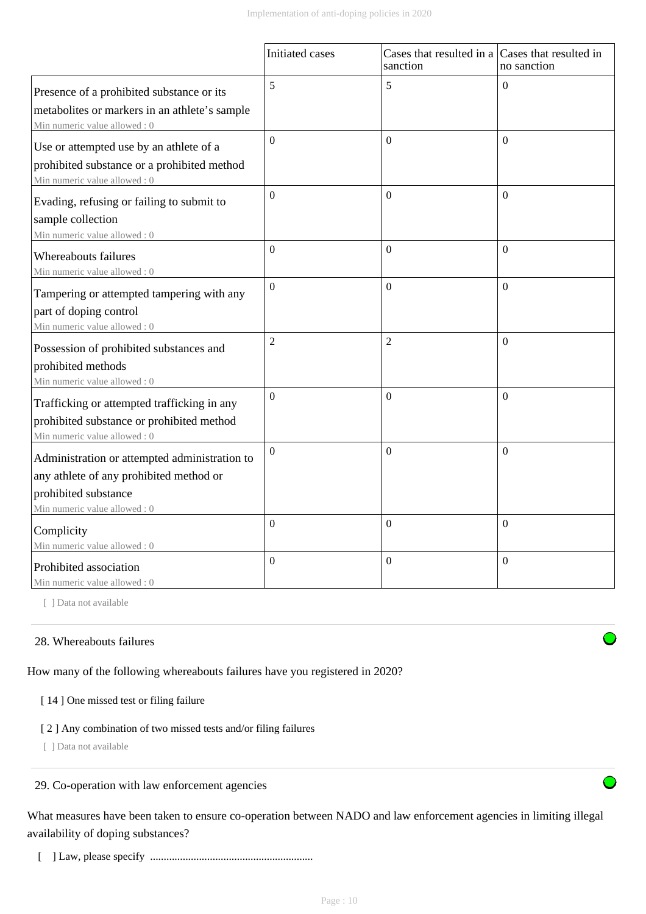|                                                                                                                                                  | Initiated cases  | Cases that resulted in a Cases that resulted in<br>sanction | no sanction      |
|--------------------------------------------------------------------------------------------------------------------------------------------------|------------------|-------------------------------------------------------------|------------------|
| Presence of a prohibited substance or its<br>metabolites or markers in an athlete's sample<br>Min numeric value allowed: 0                       | 5                | 5                                                           | $\theta$         |
| Use or attempted use by an athlete of a<br>prohibited substance or a prohibited method<br>Min numeric value allowed: 0                           | $\overline{0}$   | $\Omega$                                                    | $\Omega$         |
| Evading, refusing or failing to submit to<br>sample collection<br>Min numeric value allowed: 0                                                   | $\boldsymbol{0}$ | $\Omega$                                                    | $\Omega$         |
| Whereabouts failures<br>Min numeric value allowed: 0                                                                                             | $\theta$         | $\Omega$                                                    | $\boldsymbol{0}$ |
| Tampering or attempted tampering with any<br>part of doping control<br>Min numeric value allowed: 0                                              | $\boldsymbol{0}$ | $\boldsymbol{0}$                                            | $\boldsymbol{0}$ |
| Possession of prohibited substances and<br>prohibited methods<br>Min numeric value allowed: 0                                                    | $\overline{2}$   | $\overline{2}$                                              | $\theta$         |
| Trafficking or attempted trafficking in any<br>prohibited substance or prohibited method<br>Min numeric value allowed: 0                         | $\boldsymbol{0}$ | $\mathbf{0}$                                                | $\overline{0}$   |
| Administration or attempted administration to<br>any athlete of any prohibited method or<br>prohibited substance<br>Min numeric value allowed: 0 | $\Omega$         | $\boldsymbol{0}$                                            | $\Omega$         |
| Complicity<br>Min numeric value allowed: 0                                                                                                       | $\overline{0}$   | $\boldsymbol{0}$                                            | $\boldsymbol{0}$ |
| Prohibited association<br>Min numeric value allowed: 0                                                                                           | $\Omega$         | $\boldsymbol{0}$                                            | $\boldsymbol{0}$ |

[ ] Data not available

### 28. Whereabouts failures

How many of the following whereabouts failures have you registered in 2020?

#### [14] One missed test or filing failure

### [ 2 ] Any combination of two missed tests and/or filing failures

[ ] Data not available

29. Co-operation with law enforcement agencies

What measures have been taken to ensure co-operation between NADO and law enforcement agencies in limiting illegal availability of doping substances?

[ ] Law, please specify ............................................................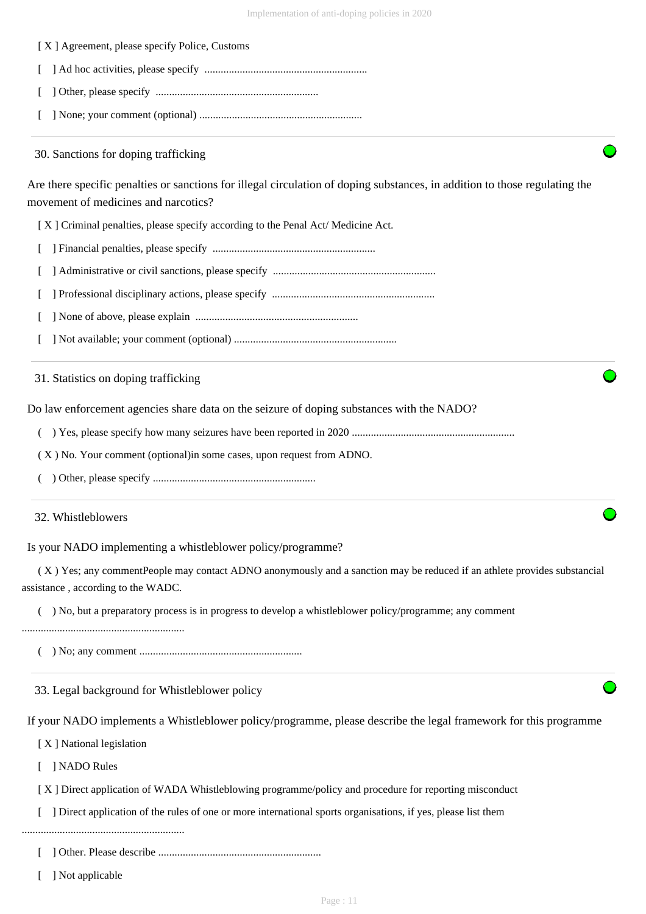

[ ] Not applicable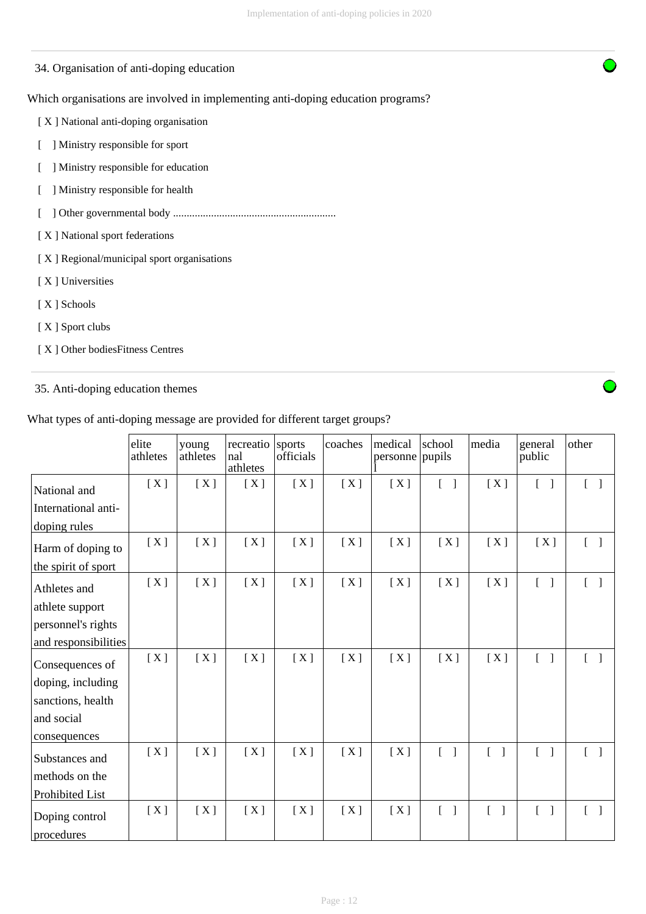### 34. Organisation of anti-doping education

### Which organisations are involved in implementing anti-doping education programs?

[ X ] National anti-doping organisation

- [ ] Ministry responsible for sport
- [ ] Ministry responsible for education
- [ ] Ministry responsible for health
- [ ] Other governmental body ............................................................
- [ X ] National sport federations
- [ X ] Regional/municipal sport organisations
- [ X ] Universities
- [ X ] Schools
- [ X ] Sport clubs
- [ X ] Other bodiesFitness Centres

### 35. Anti-doping education themes

### What types of anti-doping message are provided for different target groups?

|                      | elite<br>athletes | young<br>athletes | recreatio<br>nal<br>athletes | sports<br>officials | coaches | medical<br>personne | school<br>pupils                  | media                             | general<br>public                 | other                             |
|----------------------|-------------------|-------------------|------------------------------|---------------------|---------|---------------------|-----------------------------------|-----------------------------------|-----------------------------------|-----------------------------------|
| National and         | [X]               | [X]               | [X]                          | [X]                 | [X]     | [X]                 | $\begin{bmatrix} 1 \end{bmatrix}$ | [X]                               | $\begin{bmatrix} 1 \end{bmatrix}$ | $\begin{bmatrix} 1 \end{bmatrix}$ |
| International anti-  |                   |                   |                              |                     |         |                     |                                   |                                   |                                   |                                   |
| doping rules         |                   |                   |                              |                     |         |                     |                                   |                                   |                                   |                                   |
| Harm of doping to    | [X]               | [X]               | [X]                          | [X]                 | [X]     | [X]                 | [X]                               | [X]                               | [X]                               | $\begin{bmatrix} 1 \end{bmatrix}$ |
| the spirit of sport  |                   |                   |                              |                     |         |                     |                                   |                                   |                                   |                                   |
| Athletes and         | [X]               | [X]               | [X]                          | [X]                 | [X]     | [X]                 | [X]                               | [X]                               | $\begin{bmatrix} 1 \end{bmatrix}$ | $\begin{bmatrix} 1 \end{bmatrix}$ |
| athlete support      |                   |                   |                              |                     |         |                     |                                   |                                   |                                   |                                   |
| personnel's rights   |                   |                   |                              |                     |         |                     |                                   |                                   |                                   |                                   |
| and responsibilities |                   |                   |                              |                     |         |                     |                                   |                                   |                                   |                                   |
| Consequences of      | [X]               | [X]               | [X]                          | [X]                 | [X]     | [X]                 | [X]                               | [X]                               | $\begin{bmatrix} 1 \end{bmatrix}$ | $\lceil \; \rceil$                |
| doping, including    |                   |                   |                              |                     |         |                     |                                   |                                   |                                   |                                   |
| sanctions, health    |                   |                   |                              |                     |         |                     |                                   |                                   |                                   |                                   |
| and social           |                   |                   |                              |                     |         |                     |                                   |                                   |                                   |                                   |
| consequences         |                   |                   |                              |                     |         |                     |                                   |                                   |                                   |                                   |
| Substances and       | [X]               | [X]               | [X]                          | [X]                 | [X]     | [X]                 | $\begin{bmatrix} 1 \end{bmatrix}$ | $\begin{bmatrix} 1 \end{bmatrix}$ | $[\ ]$                            | $\begin{bmatrix} 1 \end{bmatrix}$ |
| methods on the       |                   |                   |                              |                     |         |                     |                                   |                                   |                                   |                                   |
| Prohibited List      |                   |                   |                              |                     |         |                     |                                   |                                   |                                   |                                   |
| Doping control       | [X]               | [X]               | [X]                          | [X]                 | [X]     | [X]                 | $\lceil \; \rceil$                |                                   | $\begin{bmatrix} 1 \end{bmatrix}$ | $\lceil \; \rceil$                |
| procedures           |                   |                   |                              |                     |         |                     |                                   |                                   |                                   |                                   |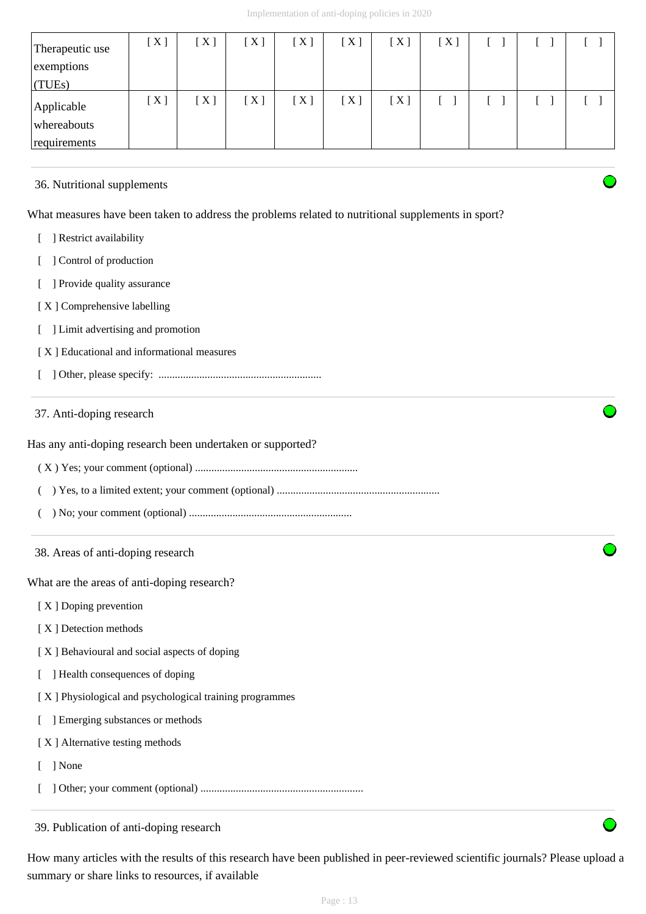| Therapeutic use<br>exemptions<br>(TUES)   | [X] | [X] | $[\,\mathrm{X}\,]$ | $[\,\mathrm{X}\,]$ | [X]                | [X] | [X] |  |  |
|-------------------------------------------|-----|-----|--------------------|--------------------|--------------------|-----|-----|--|--|
| Applicable<br>whereabouts<br>requirements | [X] | [X] | [X]                | [X]                | $[\,\mathrm{X}\,]$ | [X] |     |  |  |

### 36. Nutritional supplements

What measures have been taken to address the problems related to nutritional supplements in sport?

- [ ] Restrict availability
- [ ] Control of production
- [ ] Provide quality assurance
- [ X ] Comprehensive labelling
- [ ] Limit advertising and promotion
- [ X ] Educational and informational measures
- [ ] Other, please specify: ............................................................

### 37. Anti-doping research

Has any anti-doping research been undertaken or supported?

- ( X ) Yes; your comment (optional) ............................................................
- ( ) Yes, to a limited extent; your comment (optional) ............................................................
- ( ) No; your comment (optional) ............................................................
- 38. Areas of anti-doping research

What are the areas of anti-doping research?

- [ X ] Doping prevention
- [X] Detection methods
- [ X ] Behavioural and social aspects of doping
- [ ] Health consequences of doping
- [ X ] Physiological and psychological training programmes
- [ ] Emerging substances or methods
- [ X ] Alternative testing methods
- [ ] None
- [ ] Other; your comment (optional) ............................................................

39. Publication of anti-doping research

How many articles with the results of this research have been published in peer-reviewed scientific journals? Please upload a summary or share links to resources, if available